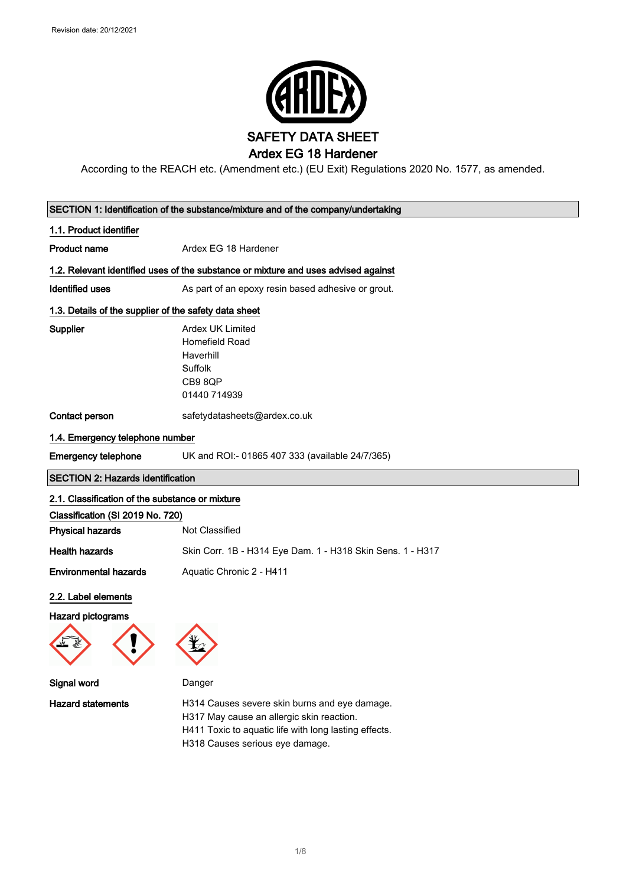

According to the REACH etc. (Amendment etc.) (EU Exit) Regulations 2020 No. 1577, as amended.

| SECTION 1: Identification of the substance/mixture and of the company/undertaking |                                                                                                                                                                                        |  |
|-----------------------------------------------------------------------------------|----------------------------------------------------------------------------------------------------------------------------------------------------------------------------------------|--|
| 1.1. Product identifier                                                           |                                                                                                                                                                                        |  |
| <b>Product name</b>                                                               | Ardex EG 18 Hardener                                                                                                                                                                   |  |
|                                                                                   | 1.2. Relevant identified uses of the substance or mixture and uses advised against                                                                                                     |  |
| <b>Identified uses</b>                                                            | As part of an epoxy resin based adhesive or grout.                                                                                                                                     |  |
| 1.3. Details of the supplier of the safety data sheet                             |                                                                                                                                                                                        |  |
| Supplier                                                                          | <b>Ardex UK Limited</b><br>Homefield Road<br>Haverhill<br>Suffolk<br>CB98QP<br>01440 714939                                                                                            |  |
| Contact person                                                                    | safetydatasheets@ardex.co.uk                                                                                                                                                           |  |
| 1.4. Emergency telephone number                                                   |                                                                                                                                                                                        |  |
| <b>Emergency telephone</b>                                                        | UK and ROI:- 01865 407 333 (available 24/7/365)                                                                                                                                        |  |
| <b>SECTION 2: Hazards identification</b>                                          |                                                                                                                                                                                        |  |
| 2.1. Classification of the substance or mixture                                   |                                                                                                                                                                                        |  |
| Classification (SI 2019 No. 720)                                                  |                                                                                                                                                                                        |  |
| <b>Physical hazards</b>                                                           | Not Classified                                                                                                                                                                         |  |
| <b>Health hazards</b>                                                             | Skin Corr. 1B - H314 Eye Dam. 1 - H318 Skin Sens. 1 - H317                                                                                                                             |  |
| <b>Environmental hazards</b>                                                      | Aquatic Chronic 2 - H411                                                                                                                                                               |  |
| 2.2. Label elements                                                               |                                                                                                                                                                                        |  |
| <b>Hazard pictograms</b>                                                          |                                                                                                                                                                                        |  |
|                                                                                   |                                                                                                                                                                                        |  |
| Signal word                                                                       | Danger                                                                                                                                                                                 |  |
| <b>Hazard statements</b>                                                          | H314 Causes severe skin burns and eye damage.<br>H317 May cause an allergic skin reaction.<br>H411 Toxic to aquatic life with long lasting effects.<br>H318 Causes serious eye damage. |  |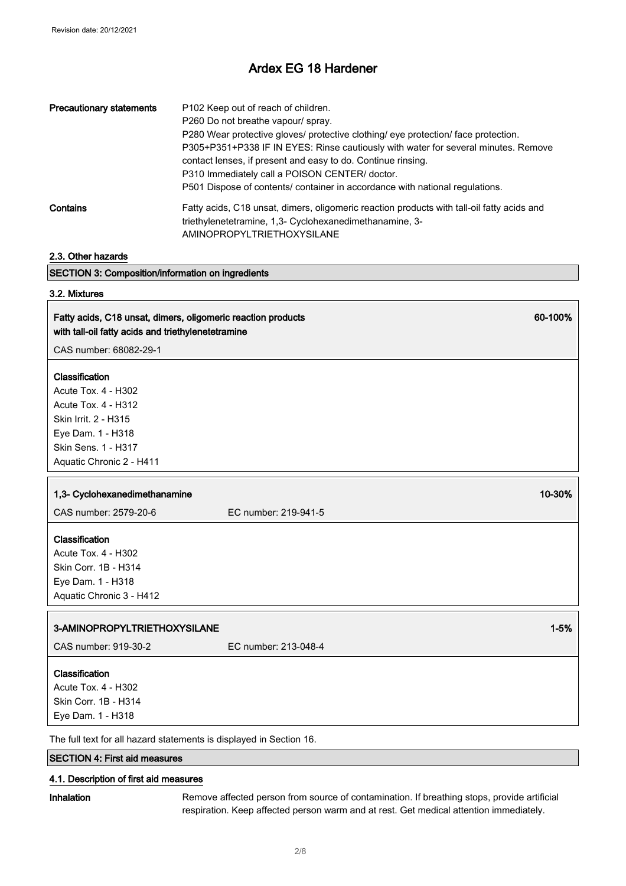| <b>Precautionary statements</b> | P102 Keep out of reach of children.<br>P260 Do not breathe vapour/ spray.<br>P280 Wear protective gloves/ protective clothing/ eye protection/ face protection.<br>P305+P351+P338 IF IN EYES: Rinse cautiously with water for several minutes. Remove<br>contact lenses, if present and easy to do. Continue rinsing.<br>P310 Immediately call a POISON CENTER/ doctor.<br>P501 Dispose of contents/ container in accordance with national regulations. |
|---------------------------------|---------------------------------------------------------------------------------------------------------------------------------------------------------------------------------------------------------------------------------------------------------------------------------------------------------------------------------------------------------------------------------------------------------------------------------------------------------|
| Contains                        | Fatty acids, C18 unsat, dimers, oligomeric reaction products with tall-oil fatty acids and<br>triethylenetetramine, 1,3- Cyclohexanedimethanamine, 3-<br>AMINOPROPYLTRIETHOXYSILANE                                                                                                                                                                                                                                                                     |

| 2.3. Other hazards                                                                                                 |                      |          |
|--------------------------------------------------------------------------------------------------------------------|----------------------|----------|
| <b>SECTION 3: Composition/information on ingredients</b>                                                           |                      |          |
| 3.2. Mixtures                                                                                                      |                      |          |
| Fatty acids, C18 unsat, dimers, oligomeric reaction products<br>with tall-oil fatty acids and triethylenetetramine |                      | 60-100%  |
| CAS number: 68082-29-1                                                                                             |                      |          |
| Classification                                                                                                     |                      |          |
| Acute Tox. 4 - H302                                                                                                |                      |          |
| <b>Acute Tox. 4 - H312</b>                                                                                         |                      |          |
| Skin Irrit. 2 - H315                                                                                               |                      |          |
| Eye Dam. 1 - H318                                                                                                  |                      |          |
| Skin Sens. 1 - H317                                                                                                |                      |          |
| Aquatic Chronic 2 - H411                                                                                           |                      |          |
|                                                                                                                    |                      | 10-30%   |
| 1,3- Cyclohexanedimethanamine                                                                                      |                      |          |
| CAS number: 2579-20-6                                                                                              | EC number: 219-941-5 |          |
| Classification                                                                                                     |                      |          |
| <b>Acute Tox. 4 - H302</b>                                                                                         |                      |          |
| Skin Corr. 1B - H314                                                                                               |                      |          |
| Eye Dam. 1 - H318                                                                                                  |                      |          |
| Aquatic Chronic 3 - H412                                                                                           |                      |          |
| 3-AMINOPROPYLTRIETHOXYSILANE                                                                                       |                      | $1 - 5%$ |
| CAS number: 919-30-2                                                                                               | EC number: 213-048-4 |          |
| Classification                                                                                                     |                      |          |
| Acute Tox. 4 - H302                                                                                                |                      |          |
| Skin Corr. 1B - H314                                                                                               |                      |          |
| Eye Dam. 1 - H318                                                                                                  |                      |          |
| The full text for all hazard statements is displayed in Section 16.                                                |                      |          |
| <b>SECTION 4: First aid measures</b>                                                                               |                      |          |

## 4.1. Description of first aid measures

Inhalation Remove affected person from source of contamination. If breathing stops, provide artificial respiration. Keep affected person warm and at rest. Get medical attention immediately.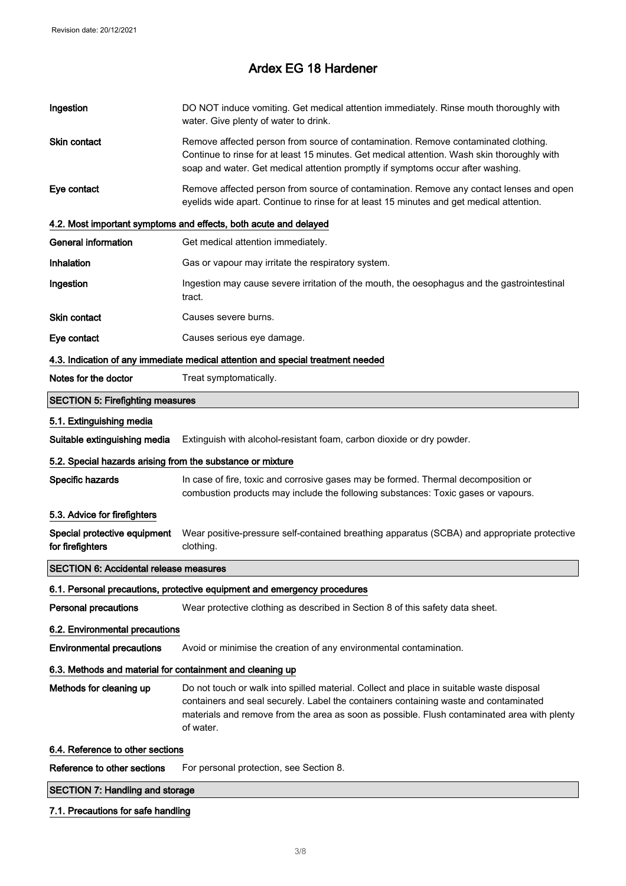| Ingestion                                                  | DO NOT induce vomiting. Get medical attention immediately. Rinse mouth thoroughly with<br>water. Give plenty of water to drink.                                                                                                                                                              |
|------------------------------------------------------------|----------------------------------------------------------------------------------------------------------------------------------------------------------------------------------------------------------------------------------------------------------------------------------------------|
| Skin contact                                               | Remove affected person from source of contamination. Remove contaminated clothing.<br>Continue to rinse for at least 15 minutes. Get medical attention. Wash skin thoroughly with<br>soap and water. Get medical attention promptly if symptoms occur after washing.                         |
| Eye contact                                                | Remove affected person from source of contamination. Remove any contact lenses and open<br>eyelids wide apart. Continue to rinse for at least 15 minutes and get medical attention.                                                                                                          |
|                                                            | 4.2. Most important symptoms and effects, both acute and delayed                                                                                                                                                                                                                             |
| <b>General information</b>                                 | Get medical attention immediately.                                                                                                                                                                                                                                                           |
| Inhalation                                                 | Gas or vapour may irritate the respiratory system.                                                                                                                                                                                                                                           |
| Ingestion                                                  | Ingestion may cause severe irritation of the mouth, the oesophagus and the gastrointestinal<br>tract.                                                                                                                                                                                        |
| Skin contact                                               | Causes severe burns.                                                                                                                                                                                                                                                                         |
| Eye contact                                                | Causes serious eye damage.                                                                                                                                                                                                                                                                   |
|                                                            | 4.3. Indication of any immediate medical attention and special treatment needed                                                                                                                                                                                                              |
| Notes for the doctor                                       | Treat symptomatically.                                                                                                                                                                                                                                                                       |
| <b>SECTION 5: Firefighting measures</b>                    |                                                                                                                                                                                                                                                                                              |
| 5.1. Extinguishing media                                   |                                                                                                                                                                                                                                                                                              |
| Suitable extinguishing media                               | Extinguish with alcohol-resistant foam, carbon dioxide or dry powder.                                                                                                                                                                                                                        |
| 5.2. Special hazards arising from the substance or mixture |                                                                                                                                                                                                                                                                                              |
| Specific hazards                                           | In case of fire, toxic and corrosive gases may be formed. Thermal decomposition or<br>combustion products may include the following substances: Toxic gases or vapours.                                                                                                                      |
| 5.3. Advice for firefighters                               |                                                                                                                                                                                                                                                                                              |
| Special protective equipment<br>for firefighters           | Wear positive-pressure self-contained breathing apparatus (SCBA) and appropriate protective<br>clothing.                                                                                                                                                                                     |
| <b>SECTION 6: Accidental release measures</b>              |                                                                                                                                                                                                                                                                                              |
|                                                            | 6.1. Personal precautions, protective equipment and emergency procedures                                                                                                                                                                                                                     |
| <b>Personal precautions</b>                                | Wear protective clothing as described in Section 8 of this safety data sheet.                                                                                                                                                                                                                |
| 6.2. Environmental precautions                             |                                                                                                                                                                                                                                                                                              |
| <b>Environmental precautions</b>                           | Avoid or minimise the creation of any environmental contamination.                                                                                                                                                                                                                           |
| 6.3. Methods and material for containment and cleaning up  |                                                                                                                                                                                                                                                                                              |
|                                                            |                                                                                                                                                                                                                                                                                              |
| Methods for cleaning up                                    | Do not touch or walk into spilled material. Collect and place in suitable waste disposal<br>containers and seal securely. Label the containers containing waste and contaminated<br>materials and remove from the area as soon as possible. Flush contaminated area with plenty<br>of water. |
| 6.4. Reference to other sections                           |                                                                                                                                                                                                                                                                                              |
| Reference to other sections                                | For personal protection, see Section 8.                                                                                                                                                                                                                                                      |

# 7.1. Precautions for safe handling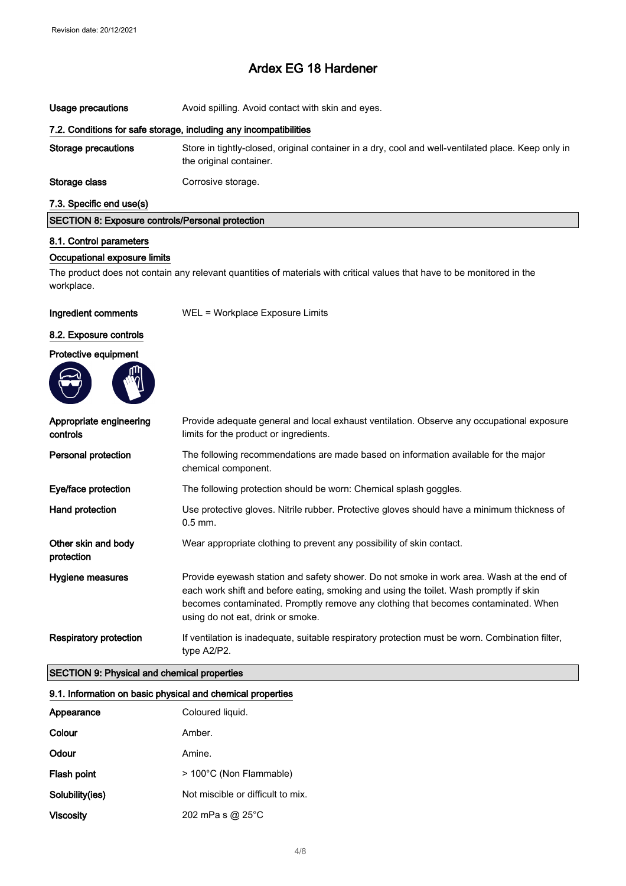| Usage precautions                                                 | Avoid spilling. Avoid contact with skin and eyes.                                                                             |  |
|-------------------------------------------------------------------|-------------------------------------------------------------------------------------------------------------------------------|--|
| 7.2. Conditions for safe storage, including any incompatibilities |                                                                                                                               |  |
| Storage precautions                                               | Store in tightly-closed, original container in a dry, cool and well-ventilated place. Keep only in<br>the original container. |  |
| Storage class                                                     | Corrosive storage.                                                                                                            |  |
| 7.3. Specific end use(s)                                          |                                                                                                                               |  |

| SECTION 8: Exposure controls/Personal protection |
|--------------------------------------------------|
|--------------------------------------------------|

### 8.1. Control parameters

## Occupational exposure limits

The product does not contain any relevant quantities of materials with critical values that have to be monitored in the workplace.

Ingredient comments WEL = Workplace Exposure Limits

#### 8.2. Exposure controls

Protective equipment



| Appropriate engineering<br>controls | Provide adequate general and local exhaust ventilation. Observe any occupational exposure<br>limits for the product or ingredients.                                                                                                                                                                           |
|-------------------------------------|---------------------------------------------------------------------------------------------------------------------------------------------------------------------------------------------------------------------------------------------------------------------------------------------------------------|
| Personal protection                 | The following recommendations are made based on information available for the major<br>chemical component.                                                                                                                                                                                                    |
| Eye/face protection                 | The following protection should be worn: Chemical splash goggles.                                                                                                                                                                                                                                             |
| Hand protection                     | Use protective gloves. Nitrile rubber. Protective gloves should have a minimum thickness of<br>$0.5$ mm.                                                                                                                                                                                                      |
| Other skin and body<br>protection   | Wear appropriate clothing to prevent any possibility of skin contact.                                                                                                                                                                                                                                         |
| Hygiene measures                    | Provide eyewash station and safety shower. Do not smoke in work area. Wash at the end of<br>each work shift and before eating, smoking and using the toilet. Wash promptly if skin<br>becomes contaminated. Promptly remove any clothing that becomes contaminated. When<br>using do not eat, drink or smoke. |
| <b>Respiratory protection</b>       | If ventilation is inadequate, suitable respiratory protection must be worn. Combination filter,<br>type A2/P2.                                                                                                                                                                                                |

## SECTION 9: Physical and chemical properties

#### 9.1. Information on basic physical and chemical properties

| Appearance         | Coloured liquid.                  |
|--------------------|-----------------------------------|
| Colour             | Amber.                            |
| Odour              | Amine.                            |
| <b>Flash point</b> | > 100°C (Non Flammable)           |
| Solubility(ies)    | Not miscible or difficult to mix. |
| <b>Viscosity</b>   | 202 mPa s @ 25°C                  |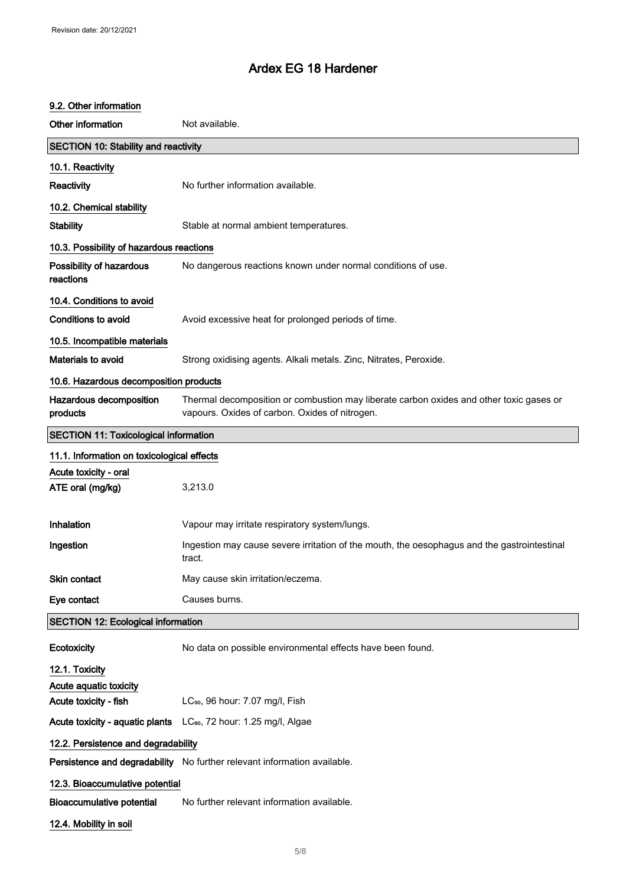#### 9.2. Other information

Other information Not available. SECTION 10: Stability and reactivity 10.1. Reactivity Reactivity No further information available. 10.2. Chemical stability Stability Stable at normal ambient temperatures. 10.3. Possibility of hazardous reactions Possibility of hazardous reactions No dangerous reactions known under normal conditions of use. 10.4. Conditions to avoid Conditions to avoid **Avoid excessive heat for prolonged periods of time.** 10.5. Incompatible materials Materials to avoid **Strong oxidising agents. Alkali metals. Zinc, Nitrates, Peroxide.** 10.6. Hazardous decomposition products Hazardous decomposition products Thermal decomposition or combustion may liberate carbon oxides and other toxic gases or vapours. Oxides of carbon. Oxides of nitrogen. SECTION 11: Toxicological information 11.1. Information on toxicological effects Acute toxicity - oral ATE oral (mg/kg) 3,213.0 Inhalation Vapour may irritate respiratory system/lungs. Ingestion Ingestion may cause severe irritation of the mouth, the oesophagus and the gastrointestinal tract. Skin contact May cause skin irritation/eczema. Eve contact Causes burns. SECTION 12: Ecological information Ecotoxicity No data on possible environmental effects have been found. 12.1. Toxicity Acute aquatic toxicity Acute toxicity - fish LC<sub>50</sub>, 96 hour: 7.07 mg/l, Fish Acute toxicity - aquatic plants LC<sub>so</sub>, 72 hour: 1.25 mg/l, Algae 12.2. Persistence and degradability Persistence and degradability No further relevant information available. 12.3. Bioaccumulative potential Bioaccumulative potential No further relevant information available. 12.4. Mobility in soil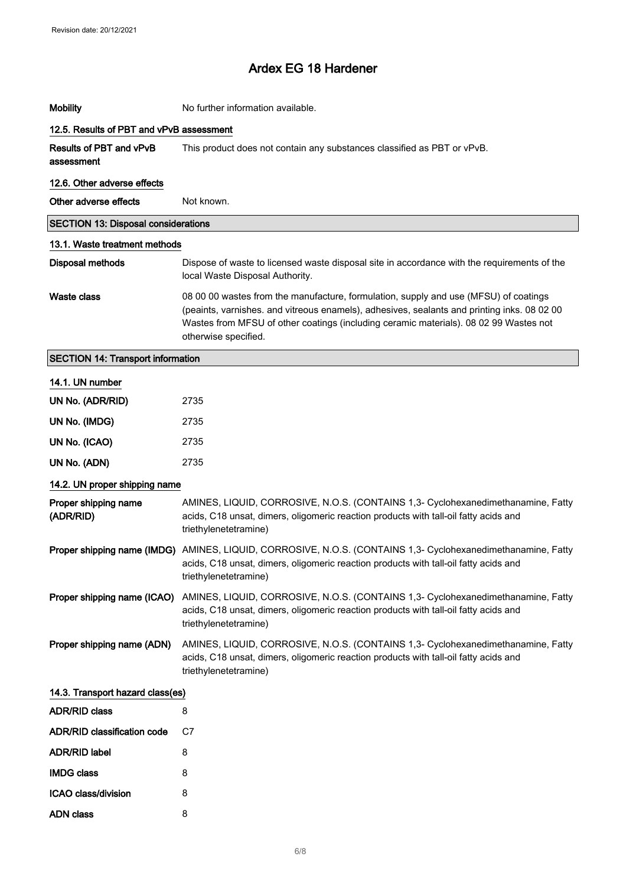| <b>Mobility</b>                            | No further information available.                                                                                                                                                                                                                                                                    |
|--------------------------------------------|------------------------------------------------------------------------------------------------------------------------------------------------------------------------------------------------------------------------------------------------------------------------------------------------------|
| 12.5. Results of PBT and vPvB assessment   |                                                                                                                                                                                                                                                                                                      |
| Results of PBT and vPvB<br>assessment      | This product does not contain any substances classified as PBT or vPvB.                                                                                                                                                                                                                              |
| 12.6. Other adverse effects                |                                                                                                                                                                                                                                                                                                      |
| Other adverse effects                      | Not known.                                                                                                                                                                                                                                                                                           |
| <b>SECTION 13: Disposal considerations</b> |                                                                                                                                                                                                                                                                                                      |
| 13.1. Waste treatment methods              |                                                                                                                                                                                                                                                                                                      |
| <b>Disposal methods</b>                    | Dispose of waste to licensed waste disposal site in accordance with the requirements of the<br>local Waste Disposal Authority.                                                                                                                                                                       |
| <b>Waste class</b>                         | 08 00 00 wastes from the manufacture, formulation, supply and use (MFSU) of coatings<br>(peaints, varnishes. and vitreous enamels), adhesives, sealants and printing inks. 08 02 00<br>Wastes from MFSU of other coatings (including ceramic materials). 08 02 99 Wastes not<br>otherwise specified. |
| <b>SECTION 14: Transport information</b>   |                                                                                                                                                                                                                                                                                                      |
| 14.1. UN number                            |                                                                                                                                                                                                                                                                                                      |
| UN No. (ADR/RID)                           | 2735                                                                                                                                                                                                                                                                                                 |
| UN No. (IMDG)                              | 2735                                                                                                                                                                                                                                                                                                 |
| UN No. (ICAO)                              | 2735                                                                                                                                                                                                                                                                                                 |
| UN No. (ADN)                               | 2735                                                                                                                                                                                                                                                                                                 |
| 14.2. UN proper shipping name              |                                                                                                                                                                                                                                                                                                      |
| Proper shipping name<br>(ADR/RID)          | AMINES, LIQUID, CORROSIVE, N.O.S. (CONTAINS 1,3- Cyclohexanedimethanamine, Fatty<br>acids, C18 unsat, dimers, oligomeric reaction products with tall-oil fatty acids and<br>triethylenetetramine)                                                                                                    |
|                                            | Proper shipping name (IMDG) AMINES, LIQUID, CORROSIVE, N.O.S. (CONTAINS 1,3- Cyclohexanedimethanamine, Fatty<br>acids, C18 unsat, dimers, oligomeric reaction products with tall-oil fatty acids and<br>triethylenetetramine)                                                                        |
| Proper shipping name (ICAO)                | AMINES, LIQUID, CORROSIVE, N.O.S. (CONTAINS 1,3- Cyclohexanedimethanamine, Fatty<br>acids, C18 unsat, dimers, oligomeric reaction products with tall-oil fatty acids and<br>triethylenetetramine)                                                                                                    |
| Proper shipping name (ADN)                 | AMINES, LIQUID, CORROSIVE, N.O.S. (CONTAINS 1,3- Cyclohexanedimethanamine, Fatty<br>acids, C18 unsat, dimers, oligomeric reaction products with tall-oil fatty acids and<br>triethylenetetramine)                                                                                                    |
| 14.3. Transport hazard class(es)           |                                                                                                                                                                                                                                                                                                      |
| <b>ADR/RID class</b>                       | 8                                                                                                                                                                                                                                                                                                    |
| <b>ADR/RID classification code</b>         | C7                                                                                                                                                                                                                                                                                                   |
| <b>ADR/RID label</b>                       | 8                                                                                                                                                                                                                                                                                                    |
| <b>IMDG class</b>                          | 8                                                                                                                                                                                                                                                                                                    |
| ICAO class/division                        | 8                                                                                                                                                                                                                                                                                                    |
| <b>ADN class</b>                           | 8                                                                                                                                                                                                                                                                                                    |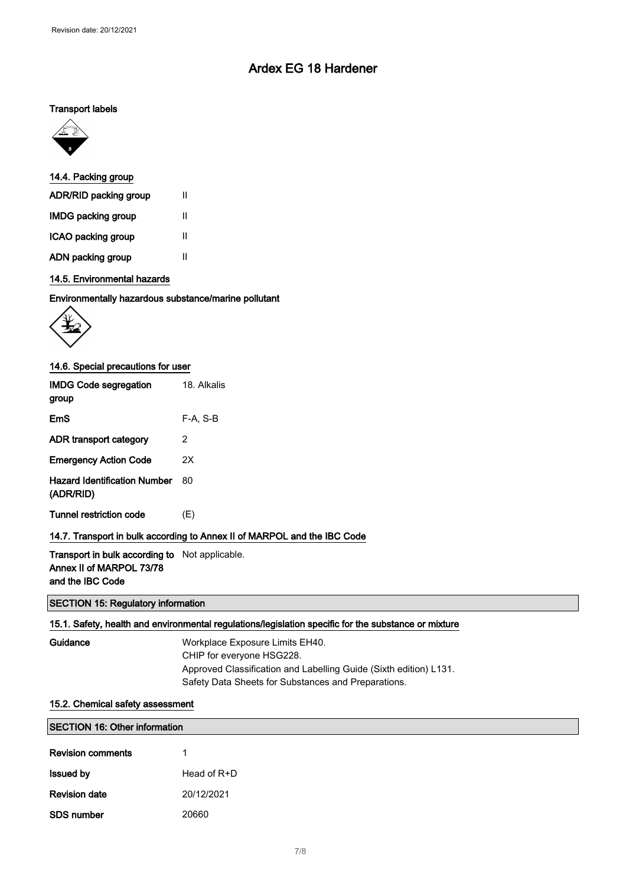### Transport labels



#### 14.4. Packing group

| ADR/RID packing group     | Ш |
|---------------------------|---|
| <b>IMDG packing group</b> | Ш |
| ICAO packing group        | Ш |
| ADN packing group         | Ш |

# 14.5. Environmental hazards

#### Environmentally hazardous substance/marine pollutant



## 14.6. Special precautions for user

| <b>IMDG Code segregation</b><br>group            | 18. Alkalis                                                              |
|--------------------------------------------------|--------------------------------------------------------------------------|
| EmS                                              | F-A. S-B                                                                 |
| ADR transport category                           | 2                                                                        |
| <b>Emergency Action Code</b>                     | 2X                                                                       |
| <b>Hazard Identification Number</b><br>(ADR/RID) | 80                                                                       |
| <b>Tunnel restriction code</b>                   | (E)                                                                      |
|                                                  | 14.7. Transport in bulk according to Annex II of MARPOL and the IBC Code |

# Transport in bulk according to Not applicable. Annex II of MARPOL 73/78

and the IBC Code

## SECTION 15: Regulatory information

## 15.1. Safety, health and environmental regulations/legislation specific for the substance or mixture

Workplace Exposure Limits EH40. CHIP for everyone HSG228. Approved Classification and Labelling Guide (Sixth edition) L131. Safety Data Sheets for Substances and Preparations.

## 15.2. Chemical safety assessment

| <b>SECTION 16: Other information</b> |             |  |
|--------------------------------------|-------------|--|
| <b>Revision comments</b>             |             |  |
| <b>Issued by</b>                     | Head of R+D |  |
| <b>Revision date</b>                 | 20/12/2021  |  |
| <b>SDS number</b>                    | 20660       |  |